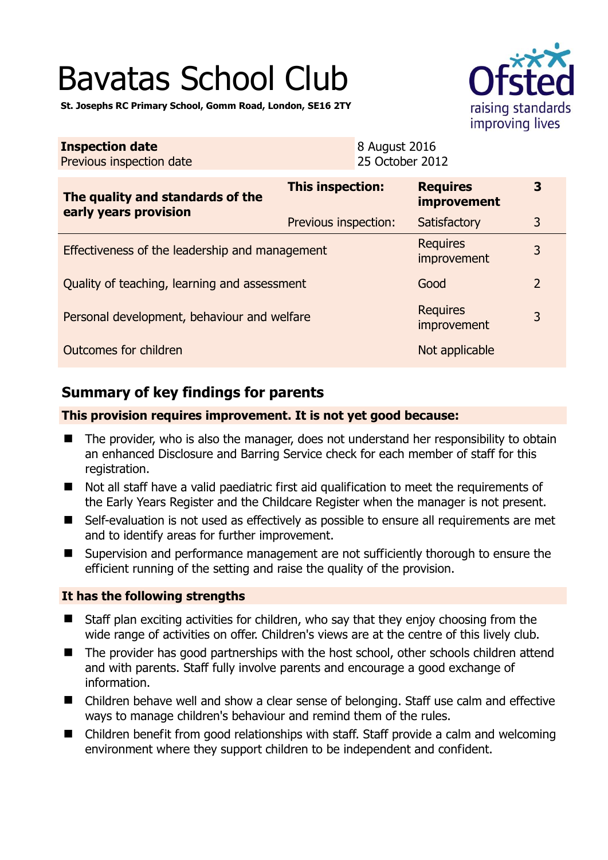# Bavatas School Club



**St. Josephs RC Primary School, Gomm Road, London, SE16 2TY** 

| <b>Inspection date</b><br>Previous inspection date        |                      | 8 August 2016<br>25 October 2012 |                                       |                |
|-----------------------------------------------------------|----------------------|----------------------------------|---------------------------------------|----------------|
| The quality and standards of the<br>early years provision | This inspection:     |                                  | <b>Requires</b><br><b>improvement</b> | 3              |
|                                                           | Previous inspection: |                                  | Satisfactory                          | 3              |
| Effectiveness of the leadership and management            |                      |                                  | <b>Requires</b><br>improvement        | 3              |
| Quality of teaching, learning and assessment              |                      |                                  | Good                                  | $\overline{2}$ |
| Personal development, behaviour and welfare               |                      |                                  | <b>Requires</b><br>improvement        | 3              |
| Outcomes for children                                     |                      |                                  | Not applicable                        |                |

# **Summary of key findings for parents**

#### **This provision requires improvement. It is not yet good because:**

- The provider, who is also the manager, does not understand her responsibility to obtain an enhanced Disclosure and Barring Service check for each member of staff for this registration.
- Not all staff have a valid paediatric first aid qualification to meet the requirements of the Early Years Register and the Childcare Register when the manager is not present.
- Self-evaluation is not used as effectively as possible to ensure all requirements are met and to identify areas for further improvement.
- Supervision and performance management are not sufficiently thorough to ensure the efficient running of the setting and raise the quality of the provision.

## **It has the following strengths**

- Staff plan exciting activities for children, who say that they enjoy choosing from the wide range of activities on offer. Children's views are at the centre of this lively club.
- The provider has good partnerships with the host school, other schools children attend and with parents. Staff fully involve parents and encourage a good exchange of information.
- Children behave well and show a clear sense of belonging. Staff use calm and effective ways to manage children's behaviour and remind them of the rules.
- Children benefit from good relationships with staff. Staff provide a calm and welcoming environment where they support children to be independent and confident.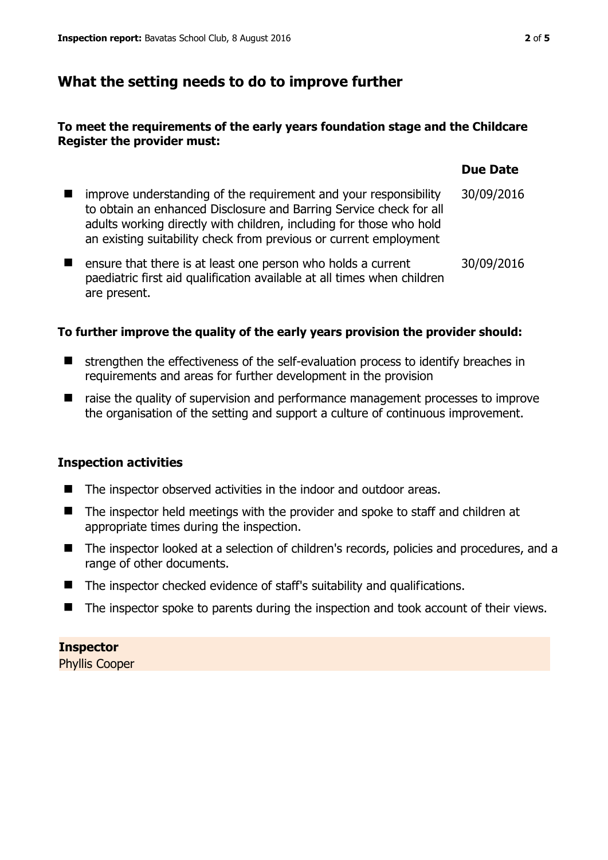# **What the setting needs to do to improve further**

## **To meet the requirements of the early years foundation stage and the Childcare Register the provider must:**

|                                                                                                                                                                                                                                                                                    | <b>Due Date</b> |
|------------------------------------------------------------------------------------------------------------------------------------------------------------------------------------------------------------------------------------------------------------------------------------|-----------------|
| improve understanding of the requirement and your responsibility<br>to obtain an enhanced Disclosure and Barring Service check for all<br>adults working directly with children, including for those who hold<br>an existing suitability check from previous or current employment | 30/09/2016      |
| ensure that there is at least one person who holds a current<br>paediatric first aid qualification available at all times when children                                                                                                                                            | 30/09/2016      |

#### **To further improve the quality of the early years provision the provider should:**

- $\blacksquare$  strengthen the effectiveness of the self-evaluation process to identify breaches in requirements and areas for further development in the provision
- T raise the quality of supervision and performance management processes to improve the organisation of the setting and support a culture of continuous improvement.

#### **Inspection activities**

are present.

- The inspector observed activities in the indoor and outdoor areas.
- The inspector held meetings with the provider and spoke to staff and children at appropriate times during the inspection.
- The inspector looked at a selection of children's records, policies and procedures, and a range of other documents.
- The inspector checked evidence of staff's suitability and qualifications.
- The inspector spoke to parents during the inspection and took account of their views.

**Inspector**  Phyllis Cooper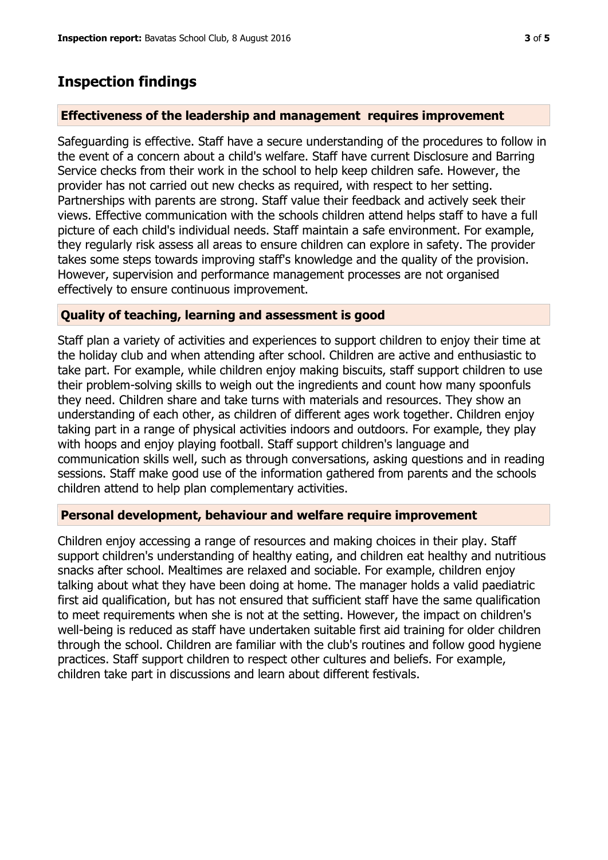# **Inspection findings**

## **Effectiveness of the leadership and management requires improvement**

Safeguarding is effective. Staff have a secure understanding of the procedures to follow in the event of a concern about a child's welfare. Staff have current Disclosure and Barring Service checks from their work in the school to help keep children safe. However, the provider has not carried out new checks as required, with respect to her setting. Partnerships with parents are strong. Staff value their feedback and actively seek their views. Effective communication with the schools children attend helps staff to have a full picture of each child's individual needs. Staff maintain a safe environment. For example, they regularly risk assess all areas to ensure children can explore in safety. The provider takes some steps towards improving staff's knowledge and the quality of the provision. However, supervision and performance management processes are not organised effectively to ensure continuous improvement.

## **Quality of teaching, learning and assessment is good**

Staff plan a variety of activities and experiences to support children to enjoy their time at the holiday club and when attending after school. Children are active and enthusiastic to take part. For example, while children enjoy making biscuits, staff support children to use their problem-solving skills to weigh out the ingredients and count how many spoonfuls they need. Children share and take turns with materials and resources. They show an understanding of each other, as children of different ages work together. Children enjoy taking part in a range of physical activities indoors and outdoors. For example, they play with hoops and enjoy playing football. Staff support children's language and communication skills well, such as through conversations, asking questions and in reading sessions. Staff make good use of the information gathered from parents and the schools children attend to help plan complementary activities.

## **Personal development, behaviour and welfare require improvement**

Children enjoy accessing a range of resources and making choices in their play. Staff support children's understanding of healthy eating, and children eat healthy and nutritious snacks after school. Mealtimes are relaxed and sociable. For example, children enjoy talking about what they have been doing at home. The manager holds a valid paediatric first aid qualification, but has not ensured that sufficient staff have the same qualification to meet requirements when she is not at the setting. However, the impact on children's well-being is reduced as staff have undertaken suitable first aid training for older children through the school. Children are familiar with the club's routines and follow good hygiene practices. Staff support children to respect other cultures and beliefs. For example, children take part in discussions and learn about different festivals.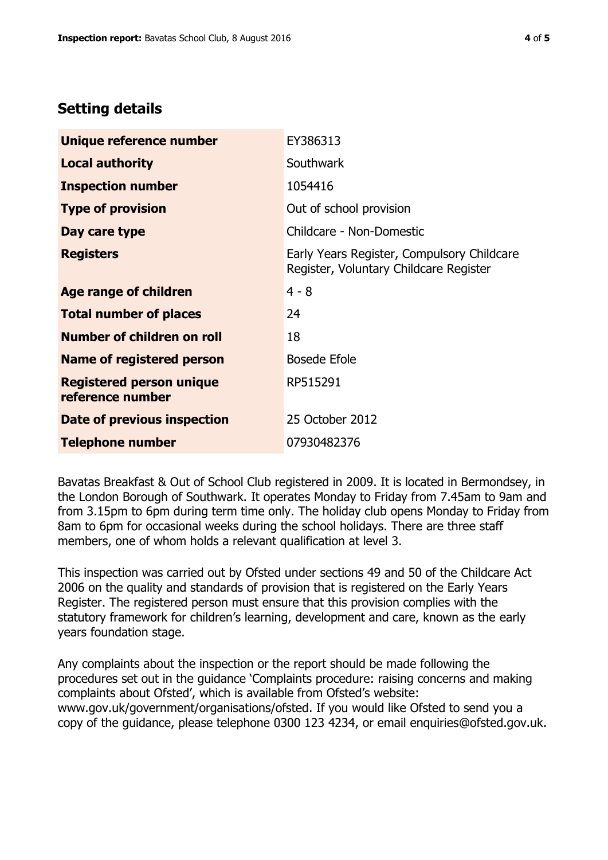# **Setting details**

| Unique reference number                             | EY386313                                                                             |
|-----------------------------------------------------|--------------------------------------------------------------------------------------|
| <b>Local authority</b>                              | <b>Southwark</b>                                                                     |
| <b>Inspection number</b>                            | 1054416                                                                              |
| <b>Type of provision</b>                            | Out of school provision                                                              |
| Day care type                                       | Childcare - Non-Domestic                                                             |
| <b>Registers</b>                                    | Early Years Register, Compulsory Childcare<br>Register, Voluntary Childcare Register |
| Age range of children                               | $4 - 8$                                                                              |
| <b>Total number of places</b>                       | 24                                                                                   |
| Number of children on roll                          | 18                                                                                   |
| Name of registered person                           | <b>Bosede Efole</b>                                                                  |
| <b>Registered person unique</b><br>reference number | RP515291                                                                             |
| Date of previous inspection                         | 25 October 2012                                                                      |
| <b>Telephone number</b>                             | 07930482376                                                                          |

Bavatas Breakfast & Out of School Club registered in 2009. It is located in Bermondsey, in the London Borough of Southwark. It operates Monday to Friday from 7.45am to 9am and from 3.15pm to 6pm during term time only. The holiday club opens Monday to Friday from 8am to 6pm for occasional weeks during the school holidays. There are three staff members, one of whom holds a relevant qualification at level 3.

This inspection was carried out by Ofsted under sections 49 and 50 of the Childcare Act 2006 on the quality and standards of provision that is registered on the Early Years Register. The registered person must ensure that this provision complies with the statutory framework for children's learning, development and care, known as the early years foundation stage.

Any complaints about the inspection or the report should be made following the procedures set out in the guidance 'Complaints procedure: raising concerns and making complaints about Ofsted', which is available from Ofsted's website: www.gov.uk/government/organisations/ofsted. If you would like Ofsted to send you a copy of the guidance, please telephone 0300 123 4234, or email enquiries@ofsted.gov.uk.